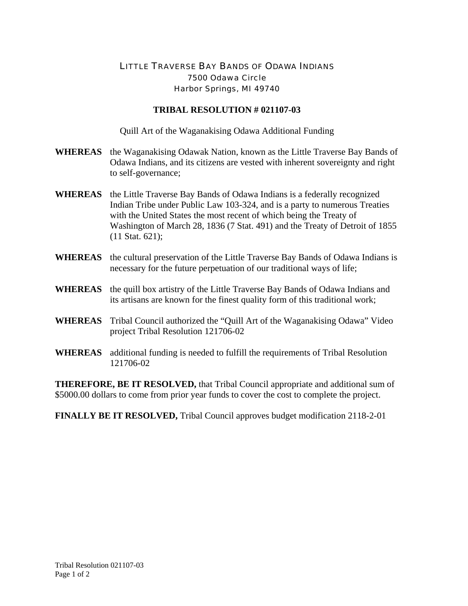## LITTLE TRAVERSE BAY BANDS OF ODAWA INDIANS 7500 Odawa Circle Harbor Springs, MI 49740

## **TRIBAL RESOLUTION # 021107-03**

Quill Art of the Waganakising Odawa Additional Funding

- **WHEREAS** the Waganakising Odawak Nation, known as the Little Traverse Bay Bands of Odawa Indians, and its citizens are vested with inherent sovereignty and right to self-governance;
- **WHEREAS** the Little Traverse Bay Bands of Odawa Indians is a federally recognized Indian Tribe under Public Law 103-324, and is a party to numerous Treaties with the United States the most recent of which being the Treaty of Washington of March 28, 1836 (7 Stat. 491) and the Treaty of Detroit of 1855 (11 Stat. 621);
- **WHEREAS** the cultural preservation of the Little Traverse Bay Bands of Odawa Indians is necessary for the future perpetuation of our traditional ways of life;
- **WHEREAS** the quill box artistry of the Little Traverse Bay Bands of Odawa Indians and its artisans are known for the finest quality form of this traditional work;
- **WHEREAS** Tribal Council authorized the "Quill Art of the Waganakising Odawa" Video project Tribal Resolution 121706-02
- **WHEREAS** additional funding is needed to fulfill the requirements of Tribal Resolution 121706-02

**THEREFORE, BE IT RESOLVED,** that Tribal Council appropriate and additional sum of \$5000.00 dollars to come from prior year funds to cover the cost to complete the project.

**FINALLY BE IT RESOLVED,** Tribal Council approves budget modification 2118-2-01